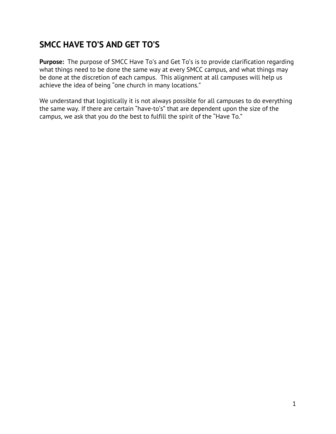## **SMCC HAVE TO'S AND GET TO'S**

**Purpose:** The purpose of SMCC Have To's and Get To's is to provide clarification regarding what things need to be done the same way at every SMCC campus, and what things may be done at the discretion of each campus. This alignment at all campuses will help us achieve the idea of being "one church in many locations."

We understand that logistically it is not always possible for all campuses to do everything the same way. If there are certain "have-to's" that are dependent upon the size of the campus, we ask that you do the best to fulfill the spirit of the "Have To."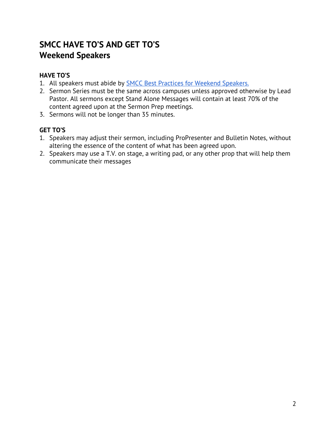## **SMCC HAVE TO'S AND GET TO'S Weekend Speakers**

#### **HAVE TO'S**

- 1. All speakers must abide by **SMCC Best Practices for Weekend [Speakers.](https://drive.google.com/open?id=11niNMkN0V858z_8DFmGFniXK4HwGEAOU)**
- 2. Sermon Series must be the same across campuses unless approved otherwise by Lead Pastor. All sermons except Stand Alone Messages will contain at least 70% of the content agreed upon at the Sermon Prep meetings.
- 3. Sermons will not be longer than 35 minutes.

- 1. Speakers may adjust their sermon, including ProPresenter and Bulletin Notes, without altering the essence of the content of what has been agreed upon.
- 2. Speakers may use a T.V. on stage, a writing pad, or any other prop that will help them communicate their messages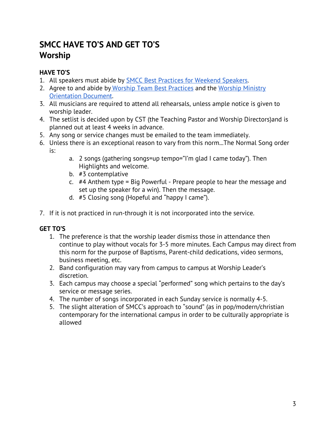## **SMCC HAVE TO'S AND GET TO'S Worship**

### **HAVE TO'S**

- 1. All speakers must abide by SMCC Best Practices for [Weekend](https://drive.google.com/open?id=11niNMkN0V858z_8DFmGFniXK4HwGEAOU) Speakers.
- 2. Agree to and abide b[y](https://drive.google.com/open?id=11niNMkN0V858z_8DFmGFniXK4HwGEAOU) Worship Team Best [Practices](https://drive.google.com/open?id=11niNMkN0V858z_8DFmGFniXK4HwGEAOU) and the [Worship](https://drive.google.com/file/d/1Qh12uqWZSKFI9tW_TEA8pUunZM9a96cI/view?usp=sharing) Ministry [Orientation](https://drive.google.com/file/d/1Qh12uqWZSKFI9tW_TEA8pUunZM9a96cI/view?usp=sharing) Document.
- 3. All musicians are required to attend all rehearsals, unless ample notice is given to worship leader.
- 4. The setlist is decided upon by CST (the Teaching Pastor and Worship Directors)and is planned out at least 4 weeks in advance.
- 5. Any song or service changes must be emailed to the team immediately.
- 6. Unless there is an exceptional reason to vary from this norm...The Normal Song order is:
	- a. 2 songs (gathering songs=up tempo="I'm glad I came today"). Then Highlights and welcome.
	- b. #3 contemplative
	- c. #4 Anthem type = Big Powerful Prepare people to hear the message and set up the speaker for a win). Then the message.
	- d. #5 Closing song (Hopeful and "happy I came").
- 7. If it is not practiced in run-through it is not incorporated into the service.

- 1. The preference is that the worship leader dismiss those in attendance then continue to play without vocals for 3-5 more minutes. Each Campus may direct from this norm for the purpose of Baptisms, Parent-child dedications, video sermons, business meeting, etc.
- 2. Band configuration may vary from campus to campus at Worship Leader's discretion.
- 3. Each campus may choose a special "performed" song which pertains to the day's service or message series.
- 4. The number of songs incorporated in each Sunday service is normally 4-5.
- 5. The slight alteration of SMCC's approach to "sound" (as in pop/modern/christian contemporary for the international campus in order to be culturally appropriate is allowed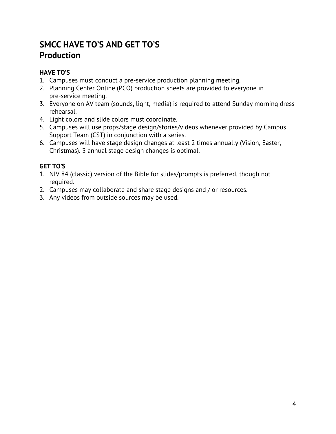## **SMCC HAVE TO'S AND GET TO'S Production**

#### **HAVE TO'S**

- 1. Campuses must conduct a pre-service production planning meeting.
- 2. Planning Center Online (PCO) production sheets are provided to everyone in pre-service meeting.
- 3. Everyone on AV team (sounds, light, media) is required to attend Sunday morning dress rehearsal.
- 4. Light colors and slide colors must coordinate.
- 5. Campuses will use props/stage design/stories/videos whenever provided by Campus Support Team (CST) in conjunction with a series.
- 6. Campuses will have stage design changes at least 2 times annually (Vision, Easter, Christmas). 3 annual stage design changes is optimal.

- 1. NIV 84 (classic) version of the Bible for slides/prompts is preferred, though not required.
- 2. Campuses may collaborate and share stage designs and / or resources.
- 3. Any videos from outside sources may be used.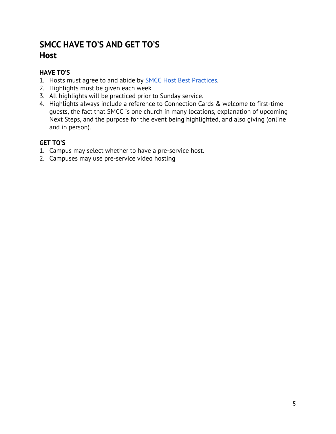## **SMCC HAVE TO'S AND GET TO'S Host**

#### **HAVE TO'S**

- 1. Hosts must agree to and abide by **SMCC Host Best Practices**.
- 2. Highlights must be given each week.
- 3. All highlights will be practiced prior to Sunday service.
- 4. Highlights always include a reference to Connection Cards & welcome to first-time guests, the fact that SMCC is one church in many locations, explanation of upcoming Next Steps, and the purpose for the event being highlighted, and also giving (online and in person).

- 1. Campus may select whether to have a pre-service host.
- 2. Campuses may use pre-service video hosting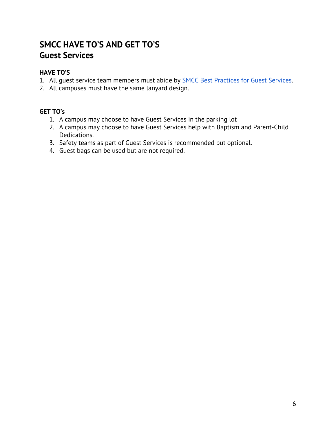## **SMCC HAVE TO'S AND GET TO'S Guest Services**

#### **HAVE TO'S**

- 1. All guest service team members must abide by **SMCC Best [Practices](https://drive.google.com/open?id=11niNMkN0V858z_8DFmGFniXK4HwGEAOU) for Guest Services**.
- 2. All campuses must have the same lanyard design.

#### **GET TO's**

- 1. A campus may choose to have Guest Services in the parking lot
- 2. A campus may choose to have Guest Services help with Baptism and Parent-Child Dedications.
- 3. Safety teams as part of Guest Services is recommended but optional.
- 4. Guest bags can be used but are not required.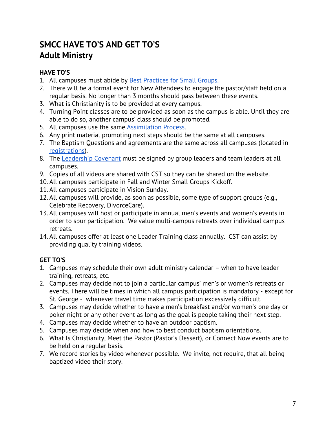## **SMCC HAVE TO'S AND GET TO'S Adult Ministry**

#### **HAVE TO'S**

- 1. All campuses must abide by Best [Practices](https://drive.google.com/open?id=11niNMkN0V858z_8DFmGFniXK4HwGEAOU) for Small Groups.
- 2. There will be a formal event for New Attendees to engage the pastor/staff held on a regular basis. No longer than 3 months should pass between these events.
- 3. What is Christianity is to be provided at every campus.
- 4. Turning Point classes are to be provided as soon as the campus is able. Until they are able to do so, another campus' class should be promoted.
- 5. All campuses use the same [Assimilation](https://drive.google.com/a/smccutah.org/file/d/1wRbH8HAxLlDMWbw4I3AdozFSPegA8Nh-/view?usp=sharing) Process.
- 6. Any print material promoting next steps should be the same at all campuses.
- 7. The Baptism Questions and agreements are the same across all campuses (located in [registrations](https://smccevents.churchcenter.com/registrations/events/category/2593)).
- 8. The [Leadership](https://drive.google.com/a/smccutah.org/file/d/1I3YvacmNDS4DvOcj2uLubqKVuMUqD-mK/view?usp=sharing) Covenant must be signed by group leaders and team leaders at all campuses.
- 9. Copies of all videos are shared with CST so they can be shared on the website.
- 10. All campuses participate in Fall and Winter Small Groups Kickoff.
- 11. All campuses participate in Vision Sunday.
- 12. All campuses will provide, as soon as possible, some type of support groups (e.g., Celebrate Recovery, DivorceCare).
- 13. All campuses will host or participate in annual men's events and women's events in order to spur participation. We value multi-campus retreats over individual campus retreats.
- 14. All campuses offer at least one Leader Training class annually. CST can assist by providing quality training videos.

- 1. Campuses may schedule their own adult ministry calendar when to have leader training, retreats, etc.
- 2. Campuses may decide not to join a particular campus' men's or women's retreats or events. There will be times in which all campus participation is mandatory - except for St. George - whenever travel time makes participation excessively difficult.
- 3. Campuses may decide whether to have a men's breakfast and/or women's one day or poker night or any other event as long as the goal is people taking their next step.
- 4. Campuses may decide whether to have an outdoor baptism.
- 5. Campuses may decide when and how to best conduct baptism orientations.
- 6. What Is Christianity, Meet the Pastor (Pastor's Dessert), or Connect Now events are to be held on a regular basis.
- 7. We record stories by video whenever possible. We invite, not require, that all being baptized video their story.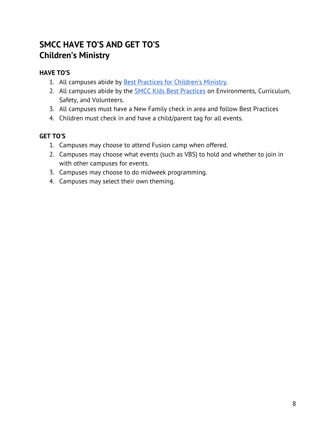## **SMCC HAVE TO'S AND GET TO'S Children's Ministry**

#### **HAVE TO'S**

- 1. All campuses abide by Best Practices for [Children's](https://drive.google.com/open?id=11niNMkN0V858z_8DFmGFniXK4HwGEAOU) Ministry.
- 2. All campuses abide by the **SMCC Kids Best [Practices](https://drive.google.com/file/d/1I-HsREieEZ16pUAaK0roAl2gy_FY5VX9/view?usp=sharing)** on Environments, Curriculum, Safety, and Volunteers.
- 3. All campuses must have a New Family check in area and follow Best Practices
- 4. Children must check in and have a child/parent tag for all events.

- 1. Campuses may choose to attend Fusion camp when offered.
- 2. Campuses may choose what events (such as VBS) to hold and whether to join in with other campuses for events.
- 3. Campuses may choose to do midweek programming.
- 4. Campuses may select their own theming.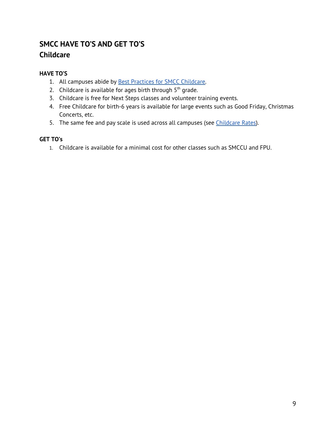## **SMCC HAVE TO'S AND GET TO'S Childcare**

#### **HAVE TO'S**

- 1. All campuses abide by **Best Practices for SMCC [Childcare](https://drive.google.com/file/d/1ZxbLMuMAbGAqwRL35a-dalXFvsEC-Ka8/view?usp=sharing)**.
- 2. Childcare is available for ages birth through  $5<sup>th</sup>$  grade.
- 3. Childcare is free for Next Steps classes and volunteer training events.
- 4. Free Childcare for birth-6 years is available for large events such as Good Friday, Christmas Concerts, etc.
- 5. The same fee and pay scale is used across all campuses (see *[Childcare](https://drive.google.com/a/smccutah.org/file/d/0B1cNe-Sd9O72YlQwVk5oRHdDN1E/view?usp=sharing) Rates*).

#### **GET TO's**

1. Childcare is available for a minimal cost for other classes such as SMCCU and FPU.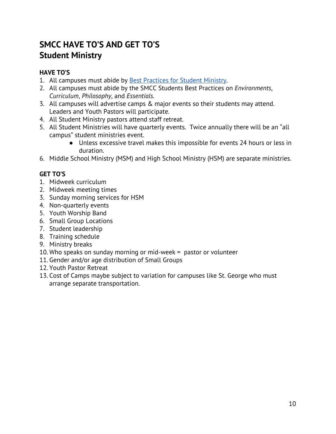## **SMCC HAVE TO'S AND GET TO'S Student Ministry**

#### **HAVE TO'S**

- 1. All campuses must abide by Best [Practices](https://drive.google.com/open?id=11niNMkN0V858z_8DFmGFniXK4HwGEAOU) for Student Ministry.
- 2. All campuses must abide by the SMCC Students Best Practices on *Environments*, *Curriculum*, *Philosophy*, and *Essentials*.
- 3. All campuses will advertise camps & major events so their students may attend. Leaders and Youth Pastors will participate.
- 4. All Student Ministry pastors attend staff retreat.
- 5. All Student Ministries will have quarterly events. Twice annually there will be an "all campus" student ministries event.
	- Unless excessive travel makes this impossible for events 24 hours or less in duration.
- 6. Middle School Ministry (MSM) and High School Ministry (HSM) are separate ministries.

- 1. Midweek curriculum
- 2. Midweek meeting times
- 3. Sunday morning services for HSM
- 4. Non-quarterly events
- 5. Youth Worship Band
- 6. Small Group Locations
- 7. Student leadership
- 8. Training schedule
- 9. Ministry breaks
- 10. Who speaks on sunday morning or mid-week = pastor or volunteer
- 11. Gender and/or age distribution of Small Groups
- 12. Youth Pastor Retreat
- 13. Cost of Camps maybe subject to variation for campuses like St. George who must arrange separate transportation.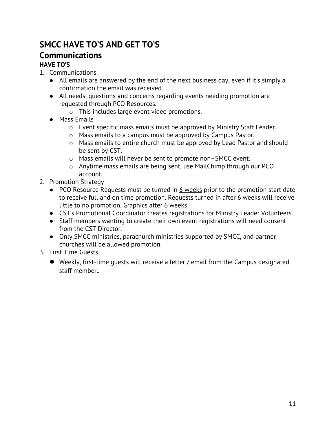# **SMCC HAVE TO'S AND GET TO'S**

## **Communications**

## **HAVE TO'S**

- 1. Communications
	- All emails are answered by the end of the next business day, even if it's simply a confirmation the email was received.
	- All needs, questions and concerns regarding events needing promotion are requested through PCO Resources.
		- o This includes large event video promotions.
	- Mass Emails
		- o Event specific mass emails must be approved by Ministry Staff Leader.
		- o Mass emails to a campus must be approved by Campus Pastor.
		- o Mass emails to entire church must be approved by Lead Pastor and should be sent by CST.
		- o Mass emails will never be sent to promote non–SMCC event.
		- o Anytime mass emails are being sent, use MailChimp through our PCO account.
- 2. Promotion Strategy
	- PCO Resource Requests must be turned in 6 weeks prior to the promotion start date to receive full and on time promotion. Requests turned in after 6 weeks will receive little to no promotion. Graphics after 6 weeks
	- CST's Promotional Coordinator creates registrations for Ministry Leader Volunteers.
	- Staff members wanting to create their own event registrations will need consent from the CST Director.
	- Only SMCC ministries, parachurch ministries supported by SMCC, and partner churches will be allowed promotion.
- 3. First Time Guests
	- **●** Weekly, first-time guests will receive a letter / email from the Campus designated staff member..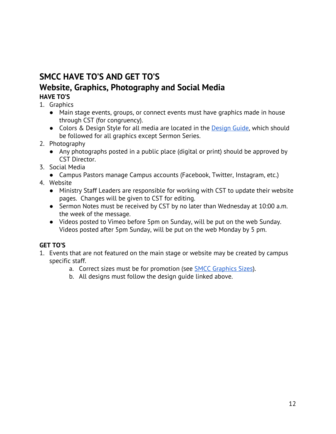## **SMCC HAVE TO'S AND GET TO'S Website, Graphics, Photography and Social Media**

## **HAVE TO'S**

- 1. Graphics
	- Main stage events, groups, or connect events must have graphics made in house through CST (for congruency).
	- Colors & [Design](https://drive.google.com/a/smccutah.org/file/d/1F4bDJX0Ubggehx1Ed7SG2njtlAaHeX57/view?usp=sharing) Style for all media are located in the Design Guide, which should be followed for all graphics except Sermon Series.
- 2. Photography
	- Any photographs posted in a public place (digital or print) should be approved by CST Director.
- 3. Social Media
	- Campus Pastors manage Campus accounts (Facebook, Twitter, Instagram, etc.)
- 4. Website
	- Ministry Staff Leaders are responsible for working with CST to update their website pages. Changes will be given to CST for editing.
	- Sermon Notes must be received by CST by no later than Wednesday at 10:00 a.m. the week of the message.
	- Videos posted to Vimeo before 5pm on Sunday, will be put on the web Sunday. Videos posted after 5pm Sunday, will be put on the web Monday by 5 pm.

- 1. Events that are not featured on the main stage or website may be created by campus specific staff.
	- a. Correct sizes must be for promotion (see SMCC [Graphics](https://docs.google.com/document/d/1B8YvbLrnazU6Q-RcH5OFRGYbhmb1AJ8VvjMFihZ9IiY/edit) Sizes).
	- b. All designs must follow the design guide linked above.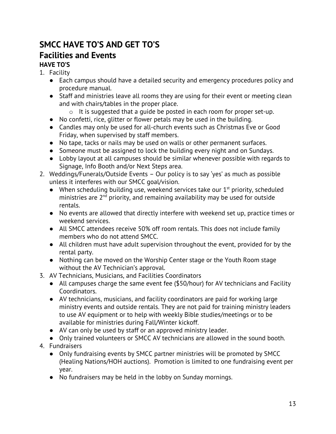## **SMCC HAVE TO'S AND GET TO'S Facilities and Events**

## **HAVE TO'S**

- 1. Facility
	- Each campus should have a detailed security and emergency procedures policy and procedure manual.
	- Staff and ministries leave all rooms they are using for their event or meeting clean and with chairs/tables in the proper place.
		- o It is suggested that a guide be posted in each room for proper set-up.
	- No confetti, rice, glitter or flower petals may be used in the building.
	- Candles may only be used for all-church events such as Christmas Eve or Good Friday, when supervised by staff members.
	- No tape, tacks or nails may be used on walls or other permanent surfaces.
	- Someone must be assigned to lock the building every night and on Sundays.
	- Lobby layout at all campuses should be similar whenever possible with regards to Signage, Info Booth and/or Next Steps area.
- 2. Weddings/Funerals/Outside Events Our policy is to say 'yes' as much as possible unless it interferes with our SMCC goal/vision.
	- $\bullet$  When scheduling building use, weekend services take our  $1^{st}$  priority, scheduled ministries are  $2<sup>nd</sup>$  priority, and remaining availability may be used for outside rentals.
	- No events are allowed that directly interfere with weekend set up, practice times or weekend services.
	- All SMCC attendees receive 50% off room rentals. This does not include family members who do not attend SMCC.
	- All children must have adult supervision throughout the event, provided for by the rental party.
	- Nothing can be moved on the Worship Center stage or the Youth Room stage without the AV Technician's approval.
- 3. AV Technicians, Musicians, and Facilities Coordinators
	- All campuses charge the same event fee (\$50/hour) for AV technicians and Facility Coordinators.
	- AV technicians, musicians, and facility coordinators are paid for working large ministry events and outside rentals. They are not paid for training ministry leaders to use AV equipment or to help with weekly Bible studies/meetings or to be available for ministries during Fall/Winter kickoff.
	- AV can only be used by staff or an approved ministry leader.
	- Only trained volunteers or SMCC AV technicians are allowed in the sound booth.
- 4. Fundraisers
	- **●** Only fundraising events by SMCC partner ministries will be promoted by SMCC (Healing Nations/HOH auctions). Promotion is limited to one fundraising event per year.
	- **●** No fundraisers may be held in the lobby on Sunday mornings.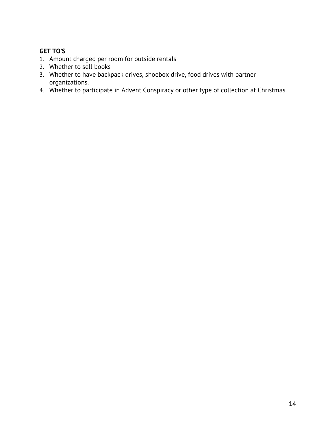- 1. Amount charged per room for outside rentals
- 2. Whether to sell books
- 3. Whether to have backpack drives, shoebox drive, food drives with partner organizations.
- 4. Whether to participate in Advent Conspiracy or other type of collection at Christmas.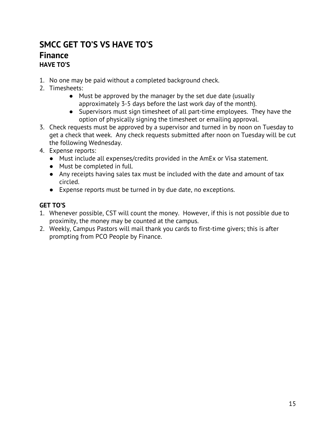## **SMCC GET TO'S VS HAVE TO'S Finance HAVE TO'S**

- 1. No one may be paid without a completed background check.
- 2. Timesheets:
	- Must be approved by the manager by the set due date (usually approximately 3-5 days before the last work day of the month).
	- Supervisors must sign timesheet of all part-time employees. They have the option of physically signing the timesheet or emailing approval.
- 3. Check requests must be approved by a supervisor and turned in by noon on Tuesday to get a check that week. Any check requests submitted after noon on Tuesday will be cut the following Wednesday.
- 4. Expense reports:
	- Must include all expenses/credits provided in the AmEx or Visa statement.
	- Must be completed in full.
	- Any receipts having sales tax must be included with the date and amount of tax circled.
	- Expense reports must be turned in by due date, no exceptions.

- 1. Whenever possible, CST will count the money. However, if this is not possible due to proximity, the money may be counted at the campus.
- 2. Weekly, Campus Pastors will mail thank you cards to first-time givers; this is after prompting from PCO People by Finance.